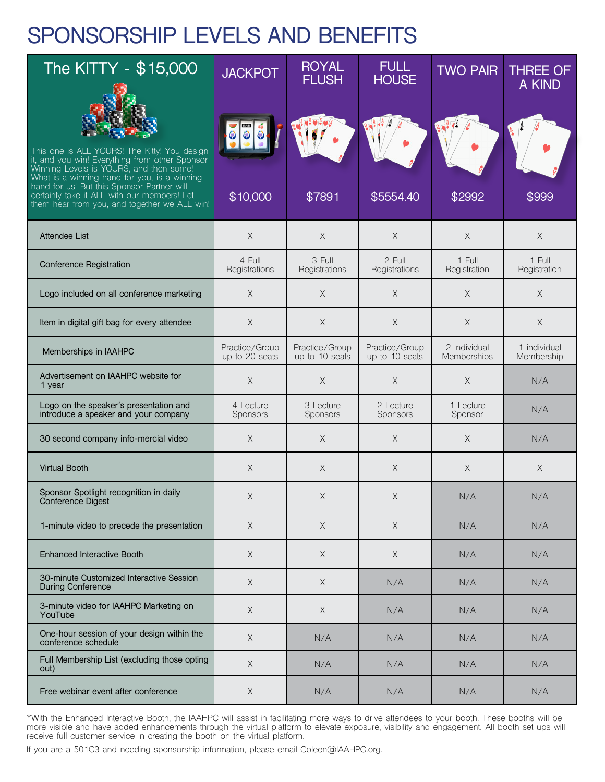## **SPONSORSHIP LEVELS AND BENEFITS**

| The KITTY - \$15,000                                                                                                                                                                                                                                                                   | <b>JACKPOT</b>                   | <b>ROYAL</b><br><b>FLUSH</b>     | <b>FULL</b><br><b>HOUSE</b>      | <b>TWO PAIR</b>             | <b>THREE OF</b><br>A KIND  |
|----------------------------------------------------------------------------------------------------------------------------------------------------------------------------------------------------------------------------------------------------------------------------------------|----------------------------------|----------------------------------|----------------------------------|-----------------------------|----------------------------|
| This one is ALL YOURS! The Kitty! You design<br>it, and you win! Everything from other Sponsor<br>Winning Levels is YOURS, and then some!<br>What is a winning hand for you, is a winning<br>hand for us! But this Sponsor Partner will<br>certainly take it ALL with our members! Let | \$10,000                         | \$7891                           | \$5554.40                        | \$2992                      | \$999                      |
| them hear from you, and together we ALL win!                                                                                                                                                                                                                                           |                                  |                                  |                                  |                             |                            |
| <b>Attendee List</b>                                                                                                                                                                                                                                                                   | $\times$                         | X                                | $\times$                         | $\times$                    | X                          |
| Conference Registration                                                                                                                                                                                                                                                                | 4 Full<br>Registrations          | 3 Full<br>Registrations          | 2 Full<br>Registrations          | 1 Full<br>Registration      | 1 Full<br>Registration     |
| Logo included on all conference marketing                                                                                                                                                                                                                                              | $\times$                         | $\times$                         | $\times$                         | $\times$                    | $\times$                   |
| Item in digital gift bag for every attendee                                                                                                                                                                                                                                            | $\mathsf X$                      | X                                | $\mathsf X$                      | $\times$                    | $\times$                   |
| Memberships in IAAHPC                                                                                                                                                                                                                                                                  | Practice/Group<br>up to 20 seats | Practice/Group<br>up to 10 seats | Practice/Group<br>up to 10 seats | 2 individual<br>Memberships | 1 individual<br>Membership |
| Advertisement on IAAHPC website for<br>1 year                                                                                                                                                                                                                                          | $\mathsf X$                      | X                                | $\times$                         | $\times$                    | N/A                        |
| Logo on the speaker's presentation and<br>introduce a speaker and your company                                                                                                                                                                                                         | 4 Lecture<br>Sponsors            | 3 Lecture<br>Sponsors            | 2 Lecture<br>Sponsors            | 1 Lecture<br>Sponsor        | N/A                        |
| 30 second company info-mercial video                                                                                                                                                                                                                                                   | $\times$                         | X                                | $\times$                         | $\times$                    | N/A                        |
| <b>Virtual Booth</b>                                                                                                                                                                                                                                                                   | $\times$                         | X                                | $\times$                         | $\times$                    | X                          |
| Sponsor Spotlight recognition in daily<br>Conference Digest                                                                                                                                                                                                                            | $\times$                         | X                                | X                                | N/A                         | N/A                        |
| 1-minute video to precede the presentation                                                                                                                                                                                                                                             | $\mathsf X$                      | $\mathsf X$                      | $\mathsf X$                      | N/A                         | N/A                        |
| <b>Enhanced Interactive Booth</b>                                                                                                                                                                                                                                                      | $\times$                         | X                                | X                                | N/A                         | N/A                        |
| 30-minute Customized Interactive Session<br><b>During Conference</b>                                                                                                                                                                                                                   | $\times$                         | X                                | N/A                              | N/A                         | N/A                        |
| 3-minute video for IAAHPC Marketing on<br>YouTube                                                                                                                                                                                                                                      | $\mathsf X$                      | $\mathsf X$                      | N/A                              | N/A                         | N/A                        |
| One-hour session of your design within the<br>conference schedule                                                                                                                                                                                                                      | $\mathsf X$                      | N/A                              | N/A                              | N/A                         | N/A                        |
| Full Membership List (excluding those opting<br>out)                                                                                                                                                                                                                                   | $\times$                         | N/A                              | N/A                              | N/A                         | N/A                        |
| Free webinar event after conference                                                                                                                                                                                                                                                    | $\mathsf X$                      | N/A                              | N/A                              | N/A                         | N/A                        |

\*With the Enhanced Interactive Booth, the IAAHPC will assist in facilitating more ways to drive attendees to your booth. These booths will be more visible and have added enhancements through the virtual platform to elevate exposure, visibility and engagement. All booth set ups will receive full customer service in creating the booth on the virtual platform.

If you are a 501C3 and needing sponsorship information, please email Coleen@IAAHPC.org.